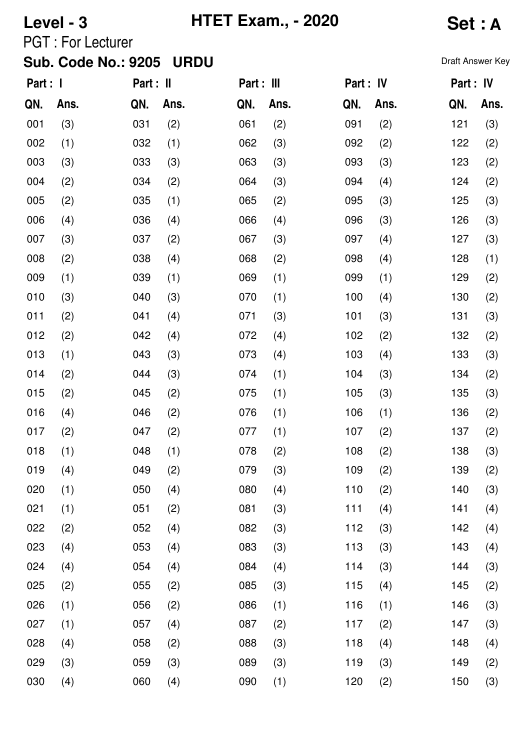# **Level - 3 HTET Exam., - 2020 Set : A**

PGT : For Lecturer

| Part : 1 |      | Part : II |      | Part : III |      | Part : IV |      | Part : IV |      |
|----------|------|-----------|------|------------|------|-----------|------|-----------|------|
| QN.      | Ans. | QN.       | Ans. | QN.        | Ans. | QN.       | Ans. | QN.       | Ans. |
| 001      | (3)  | 031       | (2)  | 061        | (2)  | 091       | (2)  | 121       | (3)  |
| 002      | (1)  | 032       | (1)  | 062        | (3)  | 092       | (2)  | 122       | (2)  |
| 003      | (3)  | 033       | (3)  | 063        | (3)  | 093       | (3)  | 123       | (2)  |
| 004      | (2)  | 034       | (2)  | 064        | (3)  | 094       | (4)  | 124       | (2)  |
| 005      | (2)  | 035       | (1)  | 065        | (2)  | 095       | (3)  | 125       | (3)  |
| 006      | (4)  | 036       | (4)  | 066        | (4)  | 096       | (3)  | 126       | (3)  |
| 007      | (3)  | 037       | (2)  | 067        | (3)  | 097       | (4)  | 127       | (3)  |
| 008      | (2)  | 038       | (4)  | 068        | (2)  | 098       | (4)  | 128       | (1)  |
| 009      | (1)  | 039       | (1)  | 069        | (1)  | 099       | (1)  | 129       | (2)  |
| 010      | (3)  | 040       | (3)  | 070        | (1)  | 100       | (4)  | 130       | (2)  |
| 011      | (2)  | 041       | (4)  | 071        | (3)  | 101       | (3)  | 131       | (3)  |
| 012      | (2)  | 042       | (4)  | 072        | (4)  | 102       | (2)  | 132       | (2)  |
| 013      | (1)  | 043       | (3)  | 073        | (4)  | 103       | (4)  | 133       | (3)  |
| 014      | (2)  | 044       | (3)  | 074        | (1)  | 104       | (3)  | 134       | (2)  |
| 015      | (2)  | 045       | (2)  | 075        | (1)  | 105       | (3)  | 135       | (3)  |
| 016      | (4)  | 046       | (2)  | 076        | (1)  | 106       | (1)  | 136       | (2)  |
| 017      | (2)  | 047       | (2)  | 077        | (1)  | 107       | (2)  | 137       | (2)  |
| 018      | (1)  | 048       | (1)  | 078        | (2)  | 108       | (2)  | 138       | (3)  |
| 019      | (4)  | 049       | (2)  | 079        | (3)  | 109       | (2)  | 139       | (2)  |
| 020      | (1)  | 050       | (4)  | 080        | (4)  | 110       | (2)  | 140       | (3)  |
| 021      | (1)  | 051       | (2)  | 081        | (3)  | 111       | (4)  | 141       | (4)  |
| 022      | (2)  | 052       | (4)  | 082        | (3)  | 112       | (3)  | 142       | (4)  |
| 023      | (4)  | 053       | (4)  | 083        | (3)  | 113       | (3)  | 143       | (4)  |
| 024      | (4)  | 054       | (4)  | 084        | (4)  | 114       | (3)  | 144       | (3)  |
| 025      | (2)  | 055       | (2)  | 085        | (3)  | 115       | (4)  | 145       | (2)  |
| 026      | (1)  | 056       | (2)  | 086        | (1)  | 116       | (1)  | 146       | (3)  |
| 027      | (1)  | 057       | (4)  | 087        | (2)  | 117       | (2)  | 147       | (3)  |
| 028      | (4)  | 058       | (2)  | 088        | (3)  | 118       | (4)  | 148       | (4)  |
| 029      | (3)  | 059       | (3)  | 089        | (3)  | 119       | (3)  | 149       | (2)  |
| 030      | (4)  | 060       | (4)  | 090        | (1)  | 120       | (2)  | 150       | (3)  |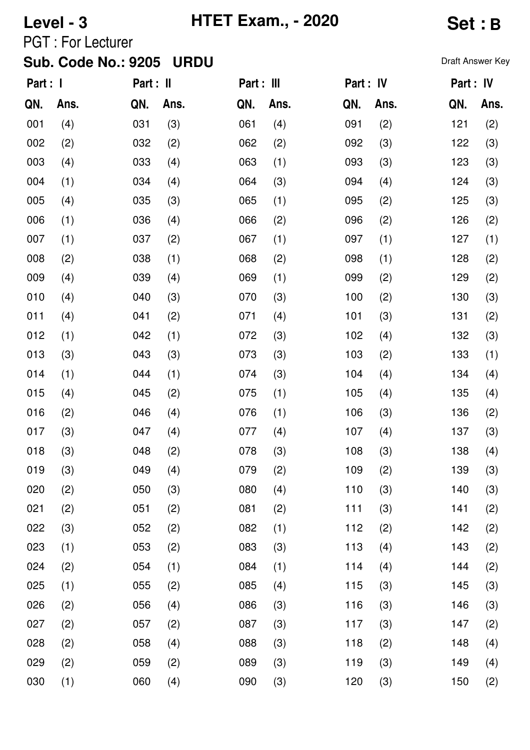## **Level - 3 HTET Exam., - 2020 Set : B**

PGT : For Lecturer

| Part : I |      | Part : II |      | Part : III |      | Part : IV |      | Part : IV |      |
|----------|------|-----------|------|------------|------|-----------|------|-----------|------|
| QN.      | Ans. | QN.       | Ans. | QN.        | Ans. | QN.       | Ans. | QN.       | Ans. |
| 001      | (4)  | 031       | (3)  | 061        | (4)  | 091       | (2)  | 121       | (2)  |
| 002      | (2)  | 032       | (2)  | 062        | (2)  | 092       | (3)  | 122       | (3)  |
| 003      | (4)  | 033       | (4)  | 063        | (1)  | 093       | (3)  | 123       | (3)  |
| 004      | (1)  | 034       | (4)  | 064        | (3)  | 094       | (4)  | 124       | (3)  |
| 005      | (4)  | 035       | (3)  | 065        | (1)  | 095       | (2)  | 125       | (3)  |
| 006      | (1)  | 036       | (4)  | 066        | (2)  | 096       | (2)  | 126       | (2)  |
| 007      | (1)  | 037       | (2)  | 067        | (1)  | 097       | (1)  | 127       | (1)  |
| 008      | (2)  | 038       | (1)  | 068        | (2)  | 098       | (1)  | 128       | (2)  |
| 009      | (4)  | 039       | (4)  | 069        | (1)  | 099       | (2)  | 129       | (2)  |
| 010      | (4)  | 040       | (3)  | 070        | (3)  | 100       | (2)  | 130       | (3)  |
| 011      | (4)  | 041       | (2)  | 071        | (4)  | 101       | (3)  | 131       | (2)  |
| 012      | (1)  | 042       | (1)  | 072        | (3)  | 102       | (4)  | 132       | (3)  |
| 013      | (3)  | 043       | (3)  | 073        | (3)  | 103       | (2)  | 133       | (1)  |
| 014      | (1)  | 044       | (1)  | 074        | (3)  | 104       | (4)  | 134       | (4)  |
| 015      | (4)  | 045       | (2)  | 075        | (1)  | 105       | (4)  | 135       | (4)  |
| 016      | (2)  | 046       | (4)  | 076        | (1)  | 106       | (3)  | 136       | (2)  |
| 017      | (3)  | 047       | (4)  | 077        | (4)  | 107       | (4)  | 137       | (3)  |
| 018      | (3)  | 048       | (2)  | 078        | (3)  | 108       | (3)  | 138       | (4)  |
| 019      | (3)  | 049       | (4)  | 079        | (2)  | 109       | (2)  | 139       | (3)  |
| 020      | (2)  | 050       | (3)  | 080        | (4)  | 110       | (3)  | 140       | (3)  |
| 021      | (2)  | 051       | (2)  | 081        | (2)  | 111       | (3)  | 141       | (2)  |
| 022      | (3)  | 052       | (2)  | 082        | (1)  | 112       | (2)  | 142       | (2)  |
| 023      | (1)  | 053       | (2)  | 083        | (3)  | 113       | (4)  | 143       | (2)  |
| 024      | (2)  | 054       | (1)  | 084        | (1)  | 114       | (4)  | 144       | (2)  |
| 025      | (1)  | 055       | (2)  | 085        | (4)  | 115       | (3)  | 145       | (3)  |
| 026      | (2)  | 056       | (4)  | 086        | (3)  | 116       | (3)  | 146       | (3)  |
| 027      | (2)  | 057       | (2)  | 087        | (3)  | 117       | (3)  | 147       | (2)  |
| 028      | (2)  | 058       | (4)  | 088        | (3)  | 118       | (2)  | 148       | (4)  |
| 029      | (2)  | 059       | (2)  | 089        | (3)  | 119       | (3)  | 149       | (4)  |
| 030      | (1)  | 060       | (4)  | 090        | (3)  | 120       | (3)  | 150       | (2)  |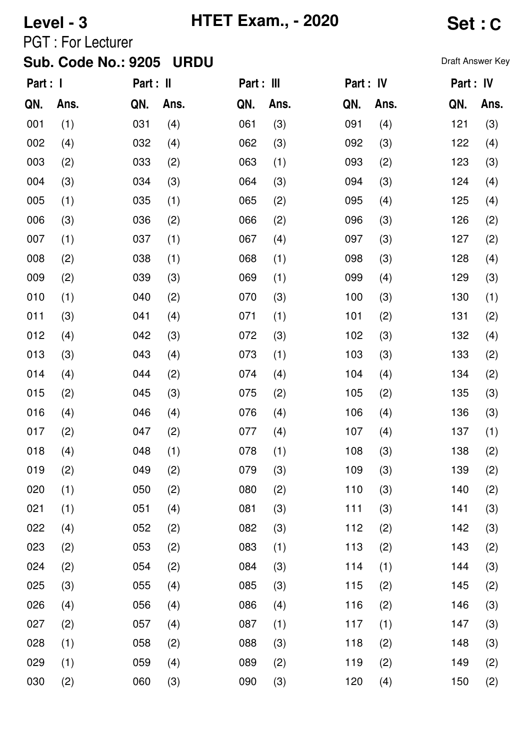# **Level - 3 HTET Exam., - 2020 Set : C**

PGT : For Lecturer

| Part : I |      | Part : II |      | Part : III |      | Part : IV |      | Part : IV |      |
|----------|------|-----------|------|------------|------|-----------|------|-----------|------|
| QN.      | Ans. | QN.       | Ans. | QN.        | Ans. | QN.       | Ans. | QN.       | Ans. |
| 001      | (1)  | 031       | (4)  | 061        | (3)  | 091       | (4)  | 121       | (3)  |
| 002      | (4)  | 032       | (4)  | 062        | (3)  | 092       | (3)  | 122       | (4)  |
| 003      | (2)  | 033       | (2)  | 063        | (1)  | 093       | (2)  | 123       | (3)  |
| 004      | (3)  | 034       | (3)  | 064        | (3)  | 094       | (3)  | 124       | (4)  |
| 005      | (1)  | 035       | (1)  | 065        | (2)  | 095       | (4)  | 125       | (4)  |
| 006      | (3)  | 036       | (2)  | 066        | (2)  | 096       | (3)  | 126       | (2)  |
| 007      | (1)  | 037       | (1)  | 067        | (4)  | 097       | (3)  | 127       | (2)  |
| 008      | (2)  | 038       | (1)  | 068        | (1)  | 098       | (3)  | 128       | (4)  |
| 009      | (2)  | 039       | (3)  | 069        | (1)  | 099       | (4)  | 129       | (3)  |
| 010      | (1)  | 040       | (2)  | 070        | (3)  | 100       | (3)  | 130       | (1)  |
| 011      | (3)  | 041       | (4)  | 071        | (1)  | 101       | (2)  | 131       | (2)  |
| 012      | (4)  | 042       | (3)  | 072        | (3)  | 102       | (3)  | 132       | (4)  |
| 013      | (3)  | 043       | (4)  | 073        | (1)  | 103       | (3)  | 133       | (2)  |
| 014      | (4)  | 044       | (2)  | 074        | (4)  | 104       | (4)  | 134       | (2)  |
| 015      | (2)  | 045       | (3)  | 075        | (2)  | 105       | (2)  | 135       | (3)  |
| 016      | (4)  | 046       | (4)  | 076        | (4)  | 106       | (4)  | 136       | (3)  |
| 017      | (2)  | 047       | (2)  | 077        | (4)  | 107       | (4)  | 137       | (1)  |
| 018      | (4)  | 048       | (1)  | 078        | (1)  | 108       | (3)  | 138       | (2)  |
| 019      | (2)  | 049       | (2)  | 079        | (3)  | 109       | (3)  | 139       | (2)  |
| 020      | (1)  | 050       | (2)  | 080        | (2)  | 110       | (3)  | 140       | (2)  |
| 021      | (1)  | 051       | (4)  | 081        | (3)  | 111       | (3)  | 141       | (3)  |
| 022      | (4)  | 052       | (2)  | 082        | (3)  | 112       | (2)  | 142       | (3)  |
| 023      | (2)  | 053       | (2)  | 083        | (1)  | 113       | (2)  | 143       | (2)  |
| 024      | (2)  | 054       | (2)  | 084        | (3)  | 114       | (1)  | 144       | (3)  |
| 025      | (3)  | 055       | (4)  | 085        | (3)  | 115       | (2)  | 145       | (2)  |
| 026      | (4)  | 056       | (4)  | 086        | (4)  | 116       | (2)  | 146       | (3)  |
| 027      | (2)  | 057       | (4)  | 087        | (1)  | 117       | (1)  | 147       | (3)  |
| 028      | (1)  | 058       | (2)  | 088        | (3)  | 118       | (2)  | 148       | (3)  |
| 029      | (1)  | 059       | (4)  | 089        | (2)  | 119       | (2)  | 149       | (2)  |
| 030      | (2)  | 060       | (3)  | 090        | (3)  | 120       | (4)  | 150       | (2)  |